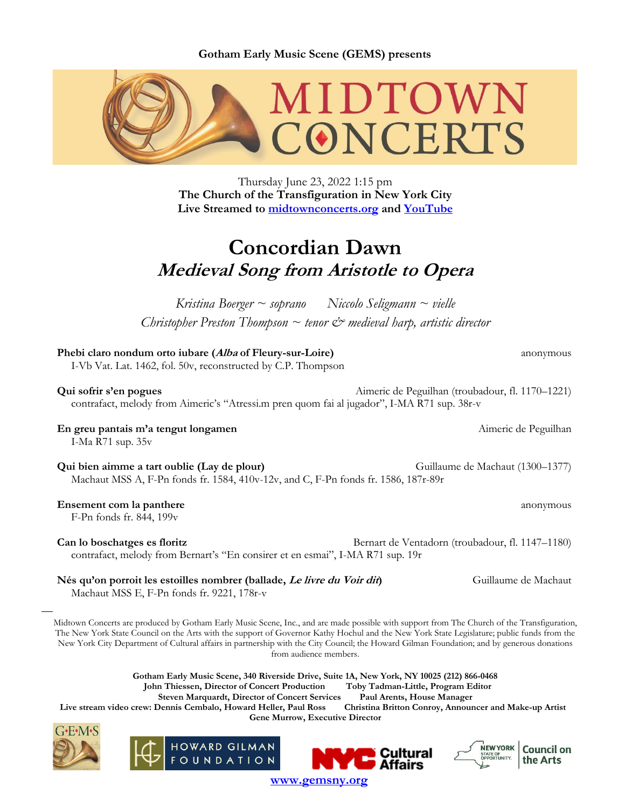**Gotham Early Music Scene (GEMS) presents**



Thursday June 23, 2022 1:15 pm **The Church of the Transfiguration in New York City Live Streamed to [midtownconcerts.org](https://gemsny.org/midtown-live) and [YouTube](https://www.youtube.com/c/MidtownConcerts/featured)**

# **Concordian Dawn Medieval Song from Aristotle to Opera**

*Kristina Boerger ~ soprano Niccolo Seligmann ~ vielle Christopher Preston Thompson ~ tenor & medieval harp, artistic director*

| Phebi claro nondum orto iubare (Alba of Fleury-sur-Loire)<br>I-Vb Vat. Lat. 1462, fol. 50v, reconstructed by C.P. Thompson                                                                                                                                                                                                                                                                                                              | anonymous                                        |
|-----------------------------------------------------------------------------------------------------------------------------------------------------------------------------------------------------------------------------------------------------------------------------------------------------------------------------------------------------------------------------------------------------------------------------------------|--------------------------------------------------|
| Qui sofrir s'en pogues<br>contrafact, melody from Aimeric's "Atressi.m pren quom fai al jugador", I-MA R71 sup. 38r-v                                                                                                                                                                                                                                                                                                                   | Aimeric de Peguilhan (troubadour, fl. 1170–1221) |
| En greu pantais m'a tengut longamen<br>I-Ma R71 sup. 35v                                                                                                                                                                                                                                                                                                                                                                                | Aimeric de Peguilhan                             |
| Qui bien aimme a tart oublie (Lay de plour)<br>Machaut MSS A, F-Pn fonds fr. 1584, 410v-12v, and C, F-Pn fonds fr. 1586, 187r-89r                                                                                                                                                                                                                                                                                                       | Guillaume de Machaut (1300-1377)                 |
| Ensement com la panthere<br>F-Pn fonds fr. 844, 199 <sub>v</sub>                                                                                                                                                                                                                                                                                                                                                                        | anonymous                                        |
| Can lo boschatges es floritz<br>contrafact, melody from Bernart's "En consirer et en esmai", I-MA R71 sup. 19r                                                                                                                                                                                                                                                                                                                          | Bernart de Ventadorn (troubadour, fl. 1147-1180) |
| Nés qu'on porroit les estoilles nombrer (ballade, Le livre du Voir dit)<br>Machaut MSS E, F-Pn fonds fr. 9221, 178r-v                                                                                                                                                                                                                                                                                                                   | Guillaume de Machaut                             |
| Midtown Concerts are produced by Gotham Early Music Scene, Inc., and are made possible with support from The Church of the Transfiguration,<br>The New York State Council on the Arts with the support of Governor Kathy Hochul and the New York State Legislature; public funds from the<br>New York City Department of Cultural affairs in partnership with the City Council: the Howard Gilman Foundation: and by generous donations |                                                  |

New York City Department of Cultural affairs in partnership with the City Council; the Howard Gilman Foundation; and by generous donations from audience members.

**Gotham Early Music Scene, 340 Riverside Drive, Suite 1A, New York, NY 10025 (212) 866-0468 John Thiessen, Director of Concert Production Toby Tadman-Little, Program Editor**

**Steven Marquardt, Director of Concert Services Paul Arents, House Manager** Live stream video crew: Dennis Cembalo, Howard Heller, Paul Ross **Gene Murrow, Executive Director**



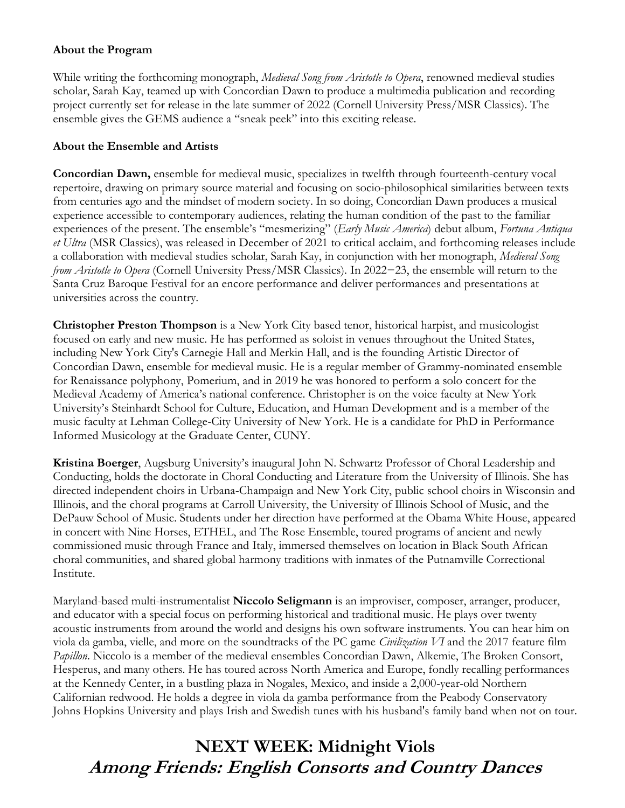## **About the Program**

While writing the forthcoming monograph, *Medieval Song from Aristotle to Opera*, renowned medieval studies scholar, Sarah Kay, teamed up with Concordian Dawn to produce a multimedia publication and recording project currently set for release in the late summer of 2022 (Cornell University Press/MSR Classics). The ensemble gives the GEMS audience a "sneak peek" into this exciting release.

## **About the Ensemble and Artists**

**Concordian Dawn,** ensemble for medieval music, specializes in twelfth through fourteenth-century vocal repertoire, drawing on primary source material and focusing on socio-philosophical similarities between texts from centuries ago and the mindset of modern society. In so doing, Concordian Dawn produces a musical experience accessible to contemporary audiences, relating the human condition of the past to the familiar experiences of the present. The ensemble's "mesmerizing" (*Early Music America*) debut album, *Fortuna Antiqua et Ultra* (MSR Classics), was released in December of 2021 to critical acclaim, and forthcoming releases include a collaboration with medieval studies scholar, Sarah Kay, in conjunction with her monograph, *Medieval Song from Aristotle to Opera* (Cornell University Press/MSR Classics). In 2022−23, the ensemble will return to the Santa Cruz Baroque Festival for an encore performance and deliver performances and presentations at universities across the country.

**Christopher Preston Thompson** is a New York City based tenor, historical harpist, and musicologist focused on early and new music. He has performed as soloist in venues throughout the United States, including New York City's Carnegie Hall and Merkin Hall, and is the founding Artistic Director of Concordian Dawn, ensemble for medieval music. He is a regular member of Grammy-nominated ensemble for Renaissance polyphony, Pomerium, and in 2019 he was honored to perform a solo concert for the Medieval Academy of America's national conference. Christopher is on the voice faculty at New York University's Steinhardt School for Culture, Education, and Human Development and is a member of the music faculty at Lehman College-City University of New York. He is a candidate for PhD in Performance Informed Musicology at the Graduate Center, CUNY.

**Kristina Boerger**, Augsburg University's inaugural John N. Schwartz Professor of Choral Leadership and Conducting, holds the doctorate in Choral Conducting and Literature from the University of Illinois. She has directed independent choirs in Urbana-Champaign and New York City, public school choirs in Wisconsin and Illinois, and the choral programs at Carroll University, the University of Illinois School of Music, and the DePauw School of Music. Students under her direction have performed at the Obama White House, appeared in concert with Nine Horses, ETHEL, and The Rose Ensemble, toured programs of ancient and newly commissioned music through France and Italy, immersed themselves on location in Black South African choral communities, and shared global harmony traditions with inmates of the Putnamville Correctional Institute.

Maryland-based multi-instrumentalist **Niccolo Seligmann** is an improviser, composer, arranger, producer, and educator with a special focus on performing historical and traditional music. He plays over twenty acoustic instruments from around the world and designs his own software instruments. You can hear him on viola da gamba, vielle, and more on the soundtracks of the PC game *Civilization VI* and the 2017 feature film *Papillon*. Niccolo is a member of the medieval ensembles Concordian Dawn, Alkemie, The Broken Consort, Hesperus, and many others. He has toured across North America and Europe, fondly recalling performances at the Kennedy Center, in a bustling plaza in Nogales, Mexico, and inside a 2,000-year-old Northern Californian redwood. He holds a degree in viola da gamba performance from the Peabody Conservatory Johns Hopkins University and plays Irish and Swedish tunes with his husband's family band when not on tour.

# **NEXT WEEK: Midnight Viols Among Friends: English Consorts and Country Dances**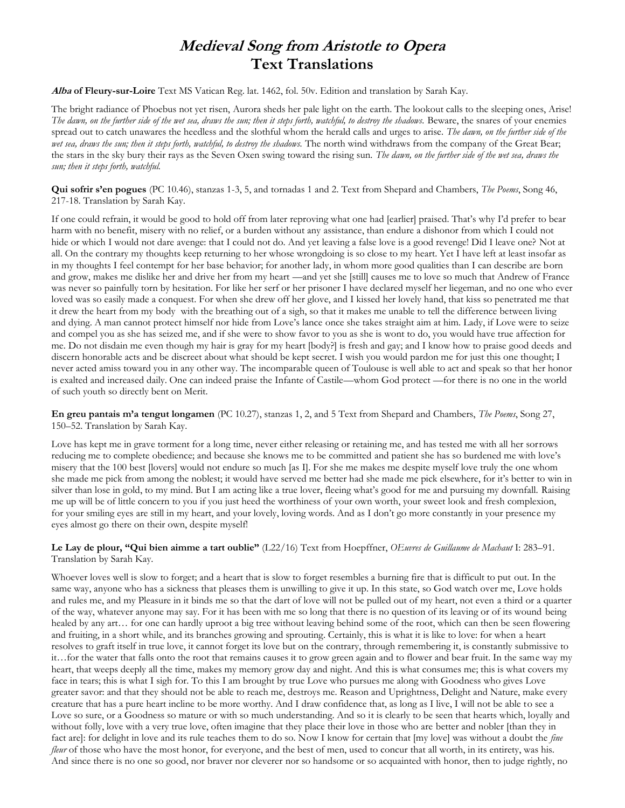## **Medieval Song from Aristotle to Opera Text Translations**

**Alba of Fleury-sur-Loire** Text MS Vatican Reg. lat. 1462, fol. 50v. Edition and translation by Sarah Kay.

The bright radiance of Phoebus not yet risen, Aurora sheds her pale light on the earth. The lookout calls to the sleeping ones, Arise! *The dawn, on the further side of the wet sea, draws the sun; then it steps forth, watchful, to destroy the shadows.* Beware, the snares of your enemies spread out to catch unawares the heedless and the slothful whom the herald calls and urges to arise. *The dawn, on the further side of the*  wet sea, draws the sun; then it steps forth, watchful, to destroy the shadows. The north wind withdraws from the company of the Great Bear; the stars in the sky bury their rays as the Seven Oxen swing toward the rising sun. *The dawn, on the further side of the wet sea, draws the sun; then it steps forth, watchful.*

**Qui sofrir s'en pogues** (PC 10.46), stanzas 1-3, 5, and tornadas 1 and 2. Text from Shepard and Chambers, *The Poems*, Song 46, 217-18. Translation by Sarah Kay.

If one could refrain, it would be good to hold off from later reproving what one had [earlier] praised. That's why I'd prefer to bear harm with no benefit, misery with no relief, or a burden without any assistance, than endure a dishonor from which I could not hide or which I would not dare avenge: that I could not do. And yet leaving a false love is a good revenge! Did I leave one? Not at all. On the contrary my thoughts keep returning to her whose wrongdoing is so close to my heart. Yet I have left at least insofar as in my thoughts I feel contempt for her base behavior; for another lady, in whom more good qualities than I can describe are born and grow, makes me dislike her and drive her from my heart —and yet she [still] causes me to love so much that Andrew of France was never so painfully torn by hesitation. For like her serf or her prisoner I have declared myself her liegeman, and no one who ever loved was so easily made a conquest. For when she drew off her glove, and I kissed her lovely hand, that kiss so penetrated me that it drew the heart from my body with the breathing out of a sigh, so that it makes me unable to tell the difference between living and dying. A man cannot protect himself nor hide from Love's lance once she takes straight aim at him. Lady, if Love were to seize and compel you as she has seized me, and if she were to show favor to you as she is wont to do, you would have true affection for me. Do not disdain me even though my hair is gray for my heart [body?] is fresh and gay; and I know how to praise good deeds and discern honorable acts and be discreet about what should be kept secret. I wish you would pardon me for just this one thought; I never acted amiss toward you in any other way. The incomparable queen of Toulouse is well able to act and speak so that her honor is exalted and increased daily. One can indeed praise the Infante of Castile—whom God protect —for there is no one in the world of such youth so directly bent on Merit.

**En greu pantais m'a tengut longamen** (PC 10.27), stanzas 1, 2, and 5 Text from Shepard and Chambers, *The Poems*, Song 27, 150–52. Translation by Sarah Kay.

Love has kept me in grave torment for a long time, never either releasing or retaining me, and has tested me with all her sorrows reducing me to complete obedience; and because she knows me to be committed and patient she has so burdened me with love's misery that the 100 best [lovers] would not endure so much [as I]. For she me makes me despite myself love truly the one whom she made me pick from among the noblest; it would have served me better had she made me pick elsewhere, for it's better to win in silver than lose in gold, to my mind. But I am acting like a true lover, fleeing what's good for me and pursuing my downfall. Raising me up will be of little concern to you if you just heed the worthiness of your own worth, your sweet look and fresh complexion, for your smiling eyes are still in my heart, and your lovely, loving words. And as I don't go more constantly in your presence my eyes almost go there on their own, despite myself!

### **Le Lay de plour, "Qui bien aimme a tart oublie"** (L22/16) Text from Hoepffner, *OEuvres de Guillaume de Machaut* I: 283–91. Translation by Sarah Kay.

Whoever loves well is slow to forget; and a heart that is slow to forget resembles a burning fire that is difficult to put out. In the same way, anyone who has a sickness that pleases them is unwilling to give it up. In this state, so God watch over me, Love holds and rules me, and my Pleasure in it binds me so that the dart of love will not be pulled out of my heart, not even a third or a quarter of the way, whatever anyone may say. For it has been with me so long that there is no question of its leaving or of its wound being healed by any art… for one can hardly uproot a big tree without leaving behind some of the root, which can then be seen flowering and fruiting, in a short while, and its branches growing and sprouting. Certainly, this is what it is like to love: for when a heart resolves to graft itself in true love, it cannot forget its love but on the contrary, through remembering it, is constantly submissive to it…for the water that falls onto the root that remains causes it to grow green again and to flower and bear fruit. In the same way my heart, that weeps deeply all the time, makes my memory grow day and night. And this is what consumes me; this is what covers my face in tears; this is what I sigh for. To this I am brought by true Love who pursues me along with Goodness who gives Love greater savor: and that they should not be able to reach me, destroys me. Reason and Uprightness, Delight and Nature, make every creature that has a pure heart incline to be more worthy. And I draw confidence that, as long as I live, I will not be able to see a Love so sure, or a Goodness so mature or with so much understanding. And so it is clearly to be seen that hearts which, loyally and without folly, love with a very true love, often imagine that they place their love in those who are better and nobler [than they in fact are]: for delight in love and its rule teaches them to do so. Now I know for certain that [my love] was without a doubt the *fine fleur* of those who have the most honor, for everyone, and the best of men, used to concur that all worth, in its entirety, was his. And since there is no one so good, nor braver nor cleverer nor so handsome or so acquainted with honor, then to judge rightly, no